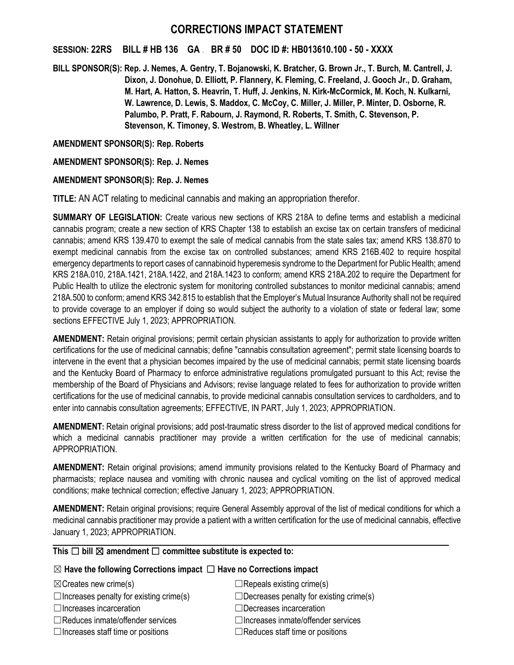# **CORRECTIONS IMPACT STATEMENT**

### **SESSION: 22RS BILL # HB 136 GA** . **BR # 50 DOC ID #: HB013610.100 - 50 - XXXX**

**BILL SPONSOR(S): Rep. J. Nemes, A. Gentry, T. Bojanowski, K. Bratcher, G. Brown Jr., T. Burch, M. Cantrell, J. Dixon, J. Donohue, D. Elliott, P. Flannery, K. Fleming, C. Freeland, J. Gooch Jr., D. Graham, M. Hart, A. Hatton, S. Heavrin, T. Huff, J. Jenkins, N. Kirk-McCormick, M. Koch, N. Kulkarni, W. Lawrence, D. Lewis, S. Maddox, C. McCoy, C. Miller, J. Miller, P. Minter, D. Osborne, R. Palumbo, P. Pratt, F. Rabourn, J. Raymond, R. Roberts, T. Smith, C. Stevenson, P. Stevenson, K. Timoney, S. Westrom, B. Wheatley, L. Willner**

### **AMENDMENT SPONSOR(S): Rep. Roberts**

**AMENDMENT SPONSOR(S): Rep. J. Nemes**

## **AMENDMENT SPONSOR(S): Rep. J. Nemes**

**TITLE:** AN ACT relating to medicinal cannabis and making an appropriation therefor.

**SUMMARY OF LEGISLATION:** Create various new sections of KRS 218A to define terms and establish a medicinal cannabis program; create a new section of KRS Chapter 138 to establish an excise tax on certain transfers of medicinal cannabis; amend KRS 139.470 to exempt the sale of medical cannabis from the state sales tax; amend KRS 138.870 to exempt medicinal cannabis from the excise tax on controlled substances; amend KRS 216B.402 to require hospital emergency departments to report cases of cannabinoid hyperemesis syndrome to the Department for Public Health; amend KRS 218A.010, 218A.1421, 218A.1422, and 218A.1423 to conform; amend KRS 218A.202 to require the Department for Public Health to utilize the electronic system for monitoring controlled substances to monitor medicinal cannabis; amend 218A.500 to conform; amend KRS 342.815 to establish that the Employer's Mutual Insurance Authority shall not be required to provide coverage to an employer if doing so would subject the authority to a violation of state or federal law; some sections EFFECTIVE July 1, 2023; APPROPRIATION.

**AMENDMENT:** Retain original provisions; permit certain physician assistants to apply for authorization to provide written certifications for the use of medicinal cannabis; define "cannabis consultation agreement"; permit state licensing boards to intervene in the event that a physician becomes impaired by the use of medicinal cannabis; permit state licensing boards and the Kentucky Board of Pharmacy to enforce administrative regulations promulgated pursuant to this Act; revise the membership of the Board of Physicians and Advisors; revise language related to fees for authorization to provide written certifications for the use of medicinal cannabis, to provide medicinal cannabis consultation services to cardholders, and to enter into cannabis consultation agreements; EFFECTIVE, IN PART, July 1, 2023; APPROPRIATION.

**AMENDMENT:** Retain original provisions; add post-traumatic stress disorder to the list of approved medical conditions for which a medicinal cannabis practitioner may provide a written certification for the use of medicinal cannabis; APPROPRIATION.

**AMENDMENT:** Retain original provisions; amend immunity provisions related to the Kentucky Board of Pharmacy and pharmacists; replace nausea and vomiting with chronic nausea and cyclical vomiting on the list of approved medical conditions; make technical correction; effective January 1, 2023; APPROPRIATION.

**AMENDMENT:** Retain original provisions; require General Assembly approval of the list of medical conditions for which a medicinal cannabis practitioner may provide a patient with a written certification for the use of medicinal cannabis, effective January 1, 2023; APPROPRIATION.

# **This** ☐ **bill** ☒ **amendment** ☐ **committee substitute is expected to:**

### ☒ **Have the following Corrections impact** ☐ **Have no Corrections impact**

 $\Box$ Increases penalty for existing crime(s)  $\Box$ Decreases penalty for existing crime(s)

- 
- ☐Reduces inmate/offender services ☐Increases inmate/offender services
- 

 $\boxtimes$ Creates new crime(s)  $\Box$ Repeals existing crime(s)

☐Increases incarceration ☐Decreases incarceration

☐Increases staff time or positions ☐Reduces staff time or positions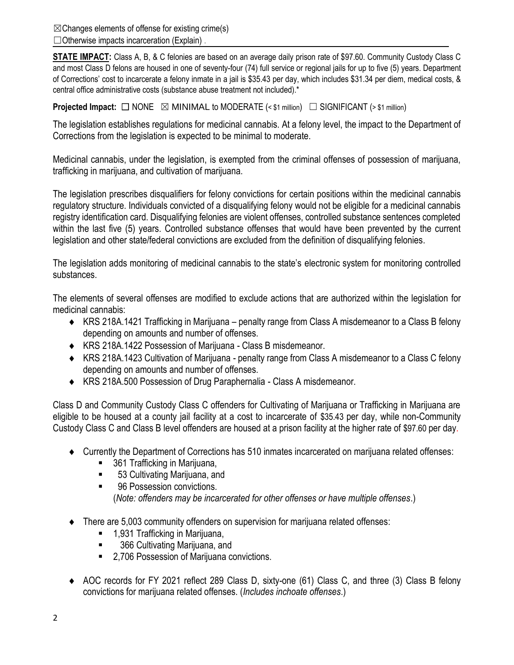$\boxtimes$ Changes elements of offense for existing crime(s) ☐Otherwise impacts incarceration (Explain) .

**STATE IMPACT:** Class A, B, & C felonies are based on an average daily prison rate of \$97.60. Community Custody Class C and most Class D felons are housed in one of seventy-four (74) full service or regional jails for up to five (5) years. Department of Corrections' cost to incarcerate a felony inmate in a jail is \$35.43 per day, which includes \$31.34 per diem, medical costs, & central office administrative costs (substance abuse treatment not included).\*

**Projected Impact:**  $\Box$  NONE  $\boxtimes$  MINIMAL to MODERATE (< \$1 million)  $\Box$  SIGNIFICANT (> \$1 million)

The legislation establishes regulations for medicinal cannabis. At a felony level, the impact to the Department of Corrections from the legislation is expected to be minimal to moderate.

Medicinal cannabis, under the legislation, is exempted from the criminal offenses of possession of marijuana, trafficking in marijuana, and cultivation of marijuana.

The legislation prescribes disqualifiers for felony convictions for certain positions within the medicinal cannabis regulatory structure. Individuals convicted of a disqualifying felony would not be eligible for a medicinal cannabis registry identification card. Disqualifying felonies are violent offenses, controlled substance sentences completed within the last five (5) years. Controlled substance offenses that would have been prevented by the current legislation and other state/federal convictions are excluded from the definition of disqualifying felonies.

The legislation adds monitoring of medicinal cannabis to the state's electronic system for monitoring controlled substances.

The elements of several offenses are modified to exclude actions that are authorized within the legislation for medicinal cannabis:

- KRS 218A.1421 Trafficking in Marijuana penalty range from Class A misdemeanor to a Class B felony depending on amounts and number of offenses.
- KRS 218A.1422 Possession of Marijuana Class B misdemeanor.
- KRS 218A.1423 Cultivation of Marijuana penalty range from Class A misdemeanor to a Class C felony depending on amounts and number of offenses.
- KRS 218A.500 Possession of Drug Paraphernalia Class A misdemeanor.

Class D and Community Custody Class C offenders for Cultivating of Marijuana or Trafficking in Marijuana are eligible to be housed at a county jail facility at a cost to incarcerate of \$35.43 per day, while non-Community Custody Class C and Class B level offenders are housed at a prison facility at the higher rate of \$97.60 per day.

- Currently the Department of Corrections has 510 inmates incarcerated on marijuana related offenses:
	- 361 Trafficking in Marijuana,
	- 53 Cultivating Marijuana, and
	- 96 Possession convictions. (*Note: offenders may be incarcerated for other offenses or have multiple offenses*.)
- There are 5,003 community offenders on supervision for marijuana related offenses:
	- 1,931 Trafficking in Marijuana,
	- 366 Cultivating Marijuana, and
	- 2,706 Possession of Marijuana convictions.
- AOC records for FY 2021 reflect 289 Class D, sixty-one (61) Class C, and three (3) Class B felony convictions for marijuana related offenses. (*Includes inchoate offenses*.)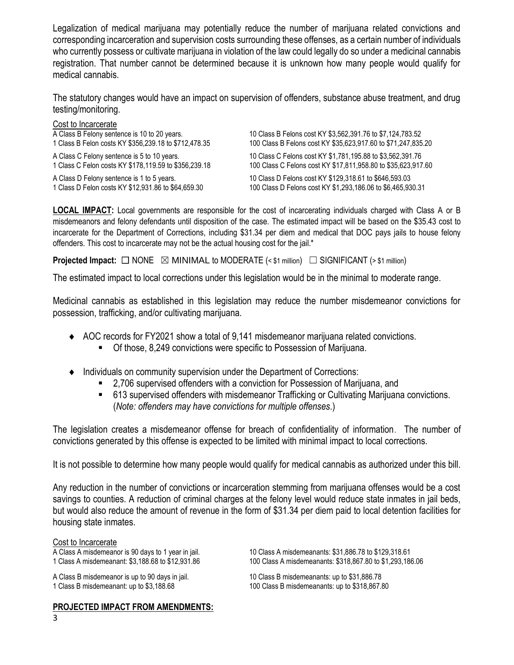Legalization of medical marijuana may potentially reduce the number of marijuana related convictions and corresponding incarceration and supervision costs surrounding these offenses, as a certain number of individuals who currently possess or cultivate marijuana in violation of the law could legally do so under a medicinal cannabis registration. That number cannot be determined because it is unknown how many people would qualify for medical cannabis.

The statutory changes would have an impact on supervision of offenders, substance abuse treatment, and drug testing/monitoring.

#### Cost to Incarcerate

| 10 Class B Felons cost KY \$3,562,391.76 to \$7,124,783.52<br>100 Class B Felons cost KY \$35,623,917.60 to \$71,247,835.20 |
|-----------------------------------------------------------------------------------------------------------------------------|
| 10 Class C Felons cost KY \$1,781,195.88 to \$3,562,391.76<br>100 Class C Felons cost KY \$17,811,958.80 to \$35,623,917.60 |
| 10 Class D Felons cost KY \$129,318.61 to \$646,593.03<br>100 Class D Felons cost KY \$1,293,186.06 to \$6,465,930.31       |
|                                                                                                                             |

**LOCAL IMPACT:** Local governments are responsible for the cost of incarcerating individuals charged with Class A or B misdemeanors and felony defendants until disposition of the case. The estimated impact will be based on the \$35.43 cost to incarcerate for the Department of Corrections, including \$31.34 per diem and medical that DOC pays jails to house felony offenders. This cost to incarcerate may not be the actual housing cost for the jail.\*

**Projected Impact:**  $\Box$  NONE  $\boxtimes$  MINIMAL to MODERATE (< \$1 million)  $\Box$  SIGNIFICANT (> \$1 million)

The estimated impact to local corrections under this legislation would be in the minimal to moderate range.

Medicinal cannabis as established in this legislation may reduce the number misdemeanor convictions for possession, trafficking, and/or cultivating marijuana.

- AOC records for FY2021 show a total of 9,141 misdemeanor marijuana related convictions.
	- Of those, 8,249 convictions were specific to Possession of Marijuana.
- Individuals on community supervision under the Department of Corrections:
	- 2,706 supervised offenders with a conviction for Possession of Marijuana, and
	- 613 supervised offenders with misdemeanor Trafficking or Cultivating Marijuana convictions. (*Note: offenders may have convictions for multiple offenses*.)

The legislation creates a misdemeanor offense for breach of confidentiality of information. The number of convictions generated by this offense is expected to be limited with minimal impact to local corrections.

It is not possible to determine how many people would qualify for medical cannabis as authorized under this bill.

Any reduction in the number of convictions or incarceration stemming from marijuana offenses would be a cost savings to counties. A reduction of criminal charges at the felony level would reduce state inmates in jail beds, but would also reduce the amount of revenue in the form of \$31.34 per diem paid to local detention facilities for housing state inmates.

### Cost to Incarcerate

**PROJECTED IMPACT FROM AMENDMENTS:**

A Class A misdemeanor is 90 days to 1 year in jail. 10 Class A misdemeanants: \$31,886.78 to \$129,318.61 1 Class A misdemeanant: \$3,188.68 to \$12,931.86 100 Class A misdemeanants: \$318,867.80 to \$1,293,186.06

A Class B misdemeanor is up to 90 days in jail. 10 Class B misdemeanants: up to \$31,886.78<br>1 Class B misdemeanant: up to \$3,188.68 100 Class B misdemeanants: up to \$318,867.8 100 Class B misdemeanants: up to \$318,867.80